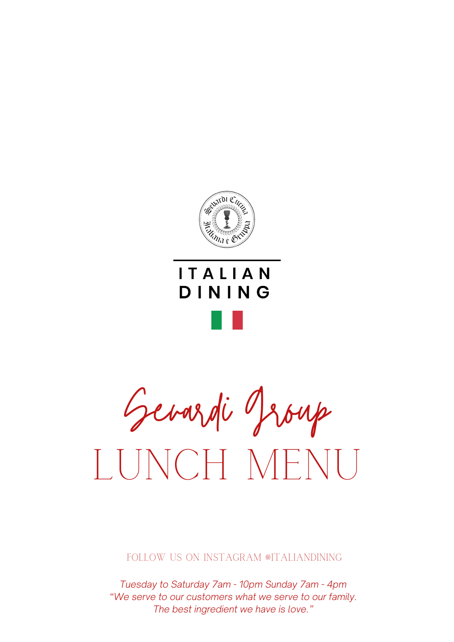

## **ITALIAN** DINING

Sevardi Group LUNCH MENU

FOLLOW US ON INSTAGRAM @ITALIANDINING

*Tuesday to Saturday 7am - 10pm Sunday 7am - 4pm "We serve to our customers what we serve to our family. The best ingredient we have is love."*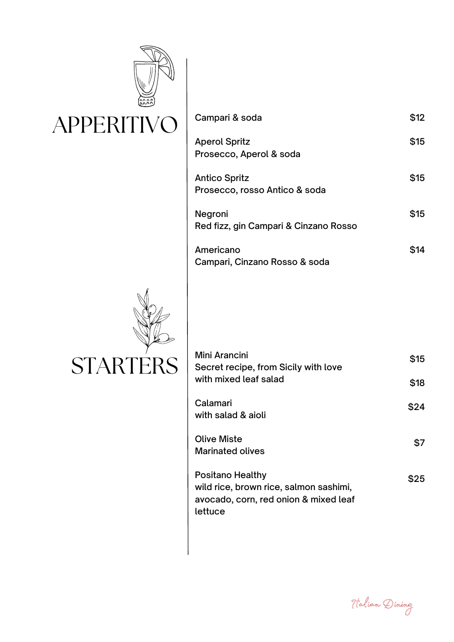

| Campari & soda                                        | \$12 |
|-------------------------------------------------------|------|
| <b>Aperol Spritz</b><br>Prosecco, Aperol & soda       | \$15 |
| <b>Antico Spritz</b><br>Prosecco, rosso Antico & soda | \$15 |
| Negroni<br>Red fizz, gin Campari & Cinzano Rosso      | \$15 |
| Americano<br>Campari, Cinzano Rosso & soda            |      |



| <b>Mini Arancini</b><br>Secret recipe, from Sicily with love<br>with mixed leaf salad                                 | \$15 |
|-----------------------------------------------------------------------------------------------------------------------|------|
|                                                                                                                       | \$18 |
| Calamari<br>with salad & aioli                                                                                        | \$24 |
| <b>Olive Miste</b><br><b>Marinated olives</b>                                                                         | \$7  |
| <b>Positano Healthy</b><br>wild rice, brown rice, salmon sashimi,<br>avocado, corn, red onion & mixed leaf<br>lettuce | \$25 |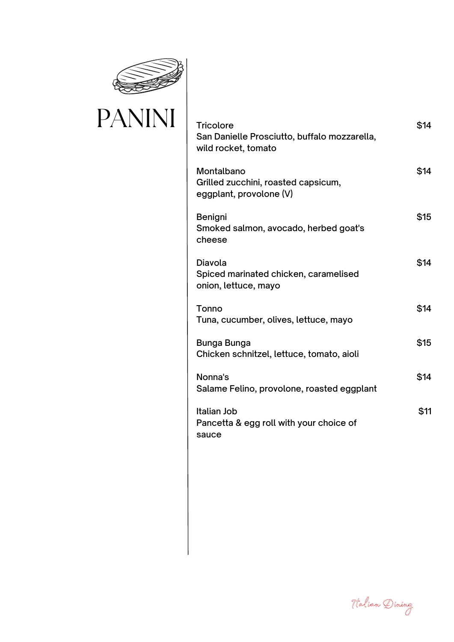

## PANINI

| <b>Tricolore</b><br>San Danielle Prosciutto, buffalo mozzarella,<br>wild rocket, tomato | \$14 |
|-----------------------------------------------------------------------------------------|------|
| Montalbano<br>Grilled zucchini, roasted capsicum,<br>eggplant, provolone (V)            | \$14 |
| Benigni<br>Smoked salmon, avocado, herbed goat's<br>cheese                              | \$15 |
| Diavola<br>Spiced marinated chicken, caramelised<br>onion, lettuce, mayo                | \$14 |
| Tonno<br>Tuna, cucumber, olives, lettuce, mayo                                          | \$14 |
| Bunga Bunga<br>Chicken schnitzel, lettuce, tomato, aioli                                | \$15 |
| Nonna's<br>Salame Felino, provolone, roasted eggplant                                   | \$14 |
| Italian Job<br>Pancetta & egg roll with your choice of<br>sauce                         | \$11 |

Italian Dining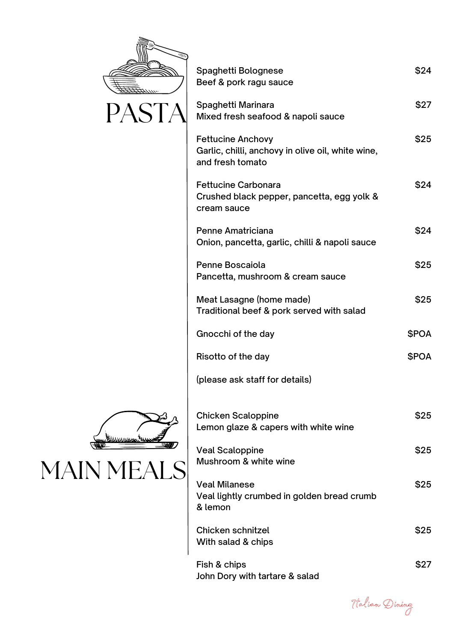

| Spaghetti Bolognese<br>Beef & pork ragu sauce                                                     | \$24        |
|---------------------------------------------------------------------------------------------------|-------------|
| Spaghetti Marinara<br>Mixed fresh seafood & napoli sauce                                          | \$27        |
| <b>Fettucine Anchovy</b><br>Garlic, chilli, anchovy in olive oil, white wine,<br>and fresh tomato | \$25        |
| <b>Fettucine Carbonara</b><br>Crushed black pepper, pancetta, egg yolk &<br>cream sauce           | \$24        |
| <b>Penne Amatriciana</b><br>Onion, pancetta, garlic, chilli & napoli sauce                        | \$24        |
| Penne Boscaiola<br>Pancetta, mushroom & cream sauce                                               | \$25        |
| Meat Lasagne (home made)<br>Traditional beef & pork served with salad                             | \$25        |
| Gnocchi of the day                                                                                | <b>SPOA</b> |
| Risotto of the day                                                                                | <b>SPOA</b> |
| (please ask staff for details)                                                                    |             |
| <b>Chicken Scaloppine</b><br>Lemon glaze & capers with white wine                                 | \$25        |
| <b>Veal Scaloppine</b><br>Mushroom & white wine                                                   | \$25        |
| <b>Veal Milanese</b><br>Veal lightly crumbed in golden bread crumb<br>& lemon                     | \$25        |
| Chicken schnitzel<br>With salad & chips                                                           | \$25        |

Fish & chips John Dory with tartare & salad



\$27



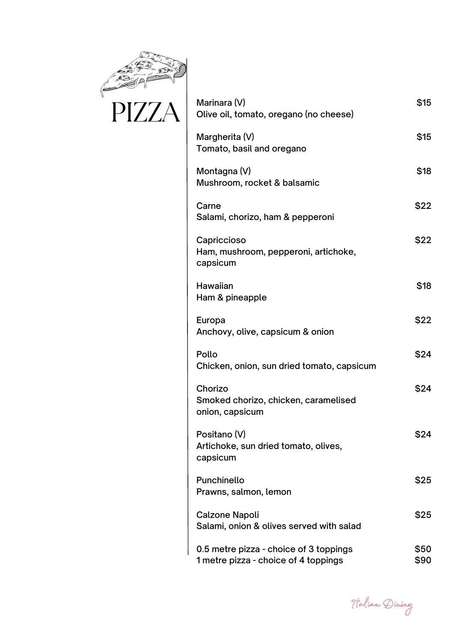

| Marinara (V)<br>Olive oil, tomato, oregano (no cheese)                         | \$15         |
|--------------------------------------------------------------------------------|--------------|
| Margherita (V)<br>Tomato, basil and oregano                                    | \$15         |
| Montagna (V)<br>Mushroom, rocket & balsamic                                    | \$18         |
| Carne<br>Salami, chorizo, ham & pepperoni                                      | \$22         |
| Capriccioso<br>Ham, mushroom, pepperoni, artichoke,<br>capsicum                | \$22         |
| Hawaiian<br>Ham & pineapple                                                    | \$18         |
| Europa<br>Anchovy, olive, capsicum & onion                                     | \$22         |
| Pollo<br>Chicken, onion, sun dried tomato, capsicum                            | \$24         |
| Chorizo<br>Smoked chorizo, chicken, caramelised<br>onion, capsicum             | \$24         |
| Positano (V)<br>Artichoke, sun dried tomato, olives,<br>capsicum               | \$24         |
| Punchinello<br>Prawns, salmon, lemon                                           | \$25         |
| <b>Calzone Napoli</b><br>Salami, onion & olives served with salad              | \$25         |
| 0.5 metre pizza - choice of 3 toppings<br>1 metre pizza - choice of 4 toppings | \$50<br>\$90 |

Italian Dining